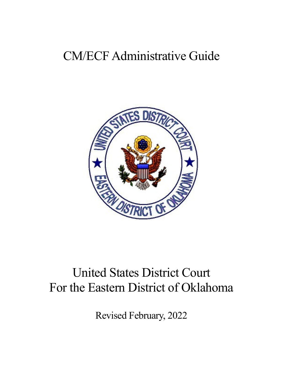# CM/ECF Administrative Guide



# United States District Court For the Eastern District of Oklahoma

Revised February, 2022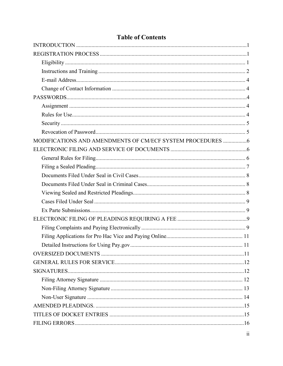## **Table of Contents**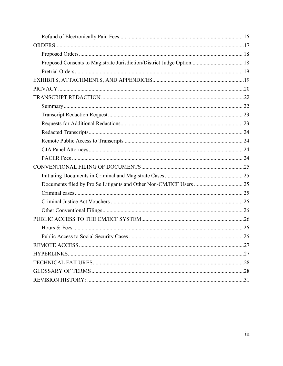| Proposed Consents to Magistrate Jurisdiction/District Judge Option 18 |
|-----------------------------------------------------------------------|
|                                                                       |
|                                                                       |
|                                                                       |
|                                                                       |
|                                                                       |
|                                                                       |
|                                                                       |
|                                                                       |
|                                                                       |
|                                                                       |
|                                                                       |
|                                                                       |
|                                                                       |
|                                                                       |
|                                                                       |
|                                                                       |
|                                                                       |
|                                                                       |
|                                                                       |
|                                                                       |
|                                                                       |
|                                                                       |
|                                                                       |
|                                                                       |
|                                                                       |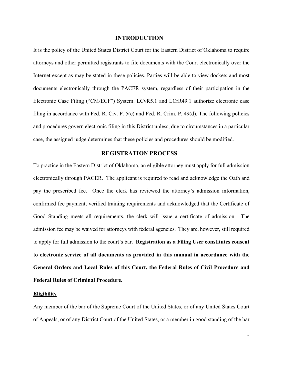## **INTRODUCTION**

<span id="page-3-0"></span>It is the policy of the United States District Court for the Eastern District of Oklahoma to require attorneys and other permitted registrants to file documents with the Court electronically over the Internet except as may be stated in these policies. Parties will be able to view dockets and most documents electronically through the PACER system, regardless of their participation in the Electronic Case Filing ("CM/ECF") System. LCvR5.1 and LCrR49.1 authorize electronic case filing in accordance with Fed. R. Civ. P. 5(e) and Fed. R. Crim. P. 49(d). The following policies and procedures govern electronic filing in this District unless, due to circumstances in a particular case, the assigned judge determines that these policies and procedures should be modified.

## **REGISTRATION PROCESS**

<span id="page-3-1"></span>To practice in the Eastern District of Oklahoma, an eligible attorney must apply for full admission electronically through PACER. The applicant is required to read and acknowledge the Oath and pay the prescribed fee. Once the clerk has reviewed the attorney's admission information, confirmed fee payment, verified training requirements and acknowledged that the Certificate of Good Standing meets all requirements, the clerk will issue a certificate of admission. The admission fee may be waived for attorneys with federal agencies. They are, however, still required to apply for full admission to the court's bar. **Registration as a Filing User constitutes consent to electronic service of all documents as provided in this manual in accordance with the General Orders and Local Rules of this Court, the Federal Rules of Civil Procedure and Federal Rules of Criminal Procedure.** 

#### <span id="page-3-2"></span>**Eligibility**

Any member of the bar of the Supreme Court of the United States, or of any United States Court of Appeals, or of any District Court of the United States, or a member in good standing of the bar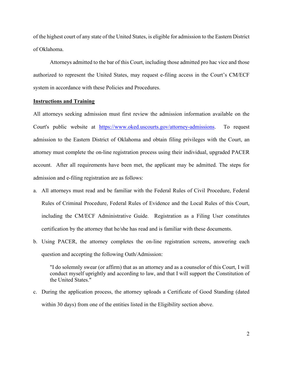of the highest court of any state of the United States, is eligible for admission to the Eastern District of Oklahoma.

Attorneys admitted to the bar of this Court, including those admitted pro hac vice and those authorized to represent the United States, may request e-filing access in the Court's CM/ECF system in accordance with these Policies and Procedures.

#### <span id="page-4-0"></span>**Instructions and Training**

All attorneys seeking admission must first review the admission information available on the Court's public website at [https://www.oked.uscourts.gov/attorney-admissions.](https://www.oked.uscourts.gov/attorney-admissions) To request admission to the Eastern District of Oklahoma and obtain filing privileges with the Court, an attorney must complete the on-line registration process using their individual, upgraded PACER account. After all requirements have been met, the applicant may be admitted. The steps for admission and e-filing registration are as follows:

- a. All attorneys must read and be familiar with the Federal Rules of Civil Procedure, Federal Rules of Criminal Procedure, Federal Rules of Evidence and the Local Rules of this Court, including the CM/ECF Administrative Guide. Registration as a Filing User constitutes certification by the attorney that he/she has read and is familiar with these documents.
- b. Using PACER, the attorney completes the on-line registration screens, answering each question and accepting the following Oath/Admission:

"I do solemnly swear (or affirm) that as an attorney and as a counselor of this Court, I will conduct myself uprightly and according to law, and that I will support the Constitution of the United States."

c. During the application process, the attorney uploads a Certificate of Good Standing (dated within 30 days) from one of the entities listed in the Eligibility section above.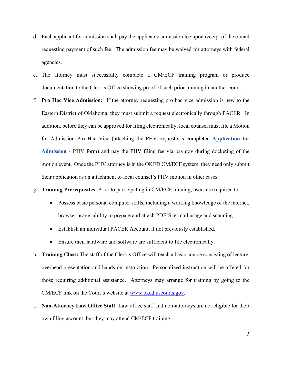- d. Each applicant for admission shall pay the applicable admission fee upon receipt of the e-mail requesting payment of such fee. The admission fee may be waived for attorneys with federal agencies.
- e. The attorney must successfully complete a CM/ECF training program or produce documentation to the Clerk's Office showing proof of such prior training in another court.
- f. **Pro Hac Vice Admission:** If the attorney requesting pro hac vice admission is new to the Eastern District of Oklahoma, they must submit a request electronically through PACER. In addition, before they can be approved for filing electronically, local counsel must file a Motion for Admission Pro Hac Vice (attaching the PHV requestor's completed **[Application for](https://www.oked.uscourts.gov/forms/application-admission-phv)  [Admission -](https://www.oked.uscourts.gov/forms/application-admission-phv) PHV** form) and pay the PHV filing fee via pay.gov during docketing of the motion event. Once the PHV attorney is in the OKED CM/ECF system, they need only submit their application as an attachment to local counsel's PHV motion in other cases.

g. **Training Prerequisites:** Prior to participating in CM/ECF training, users are required to:

- Possess basic personal computer skills, including a working knowledge of the internet, browser usage, ability to prepare and attach PDF'S, e-mail usage and scanning.
- Establish an individual PACER Account, if not previously established.
- Ensure their hardware and software are sufficient to file electronically.
- h. **Training Class:** The staff of the Clerk's Office will teach a basic course consisting of lecture, overhead presentation and hands-on instruction. Personalized instruction will be offered for those requiring additional assistance. Attorneys may arrange for training by going to the CM/ECF link on the Court's website at [www.oked.uscourts.gov.](file://oked.local/dfs/home/susans/schwebke/CMECF%20procedures/www.oked.uscourts.gov)
- i. **Non-Attorney Law Office Staff:** Law office staff and non-attorneys are not eligible for their own filing account, but they may attend CM/ECF training.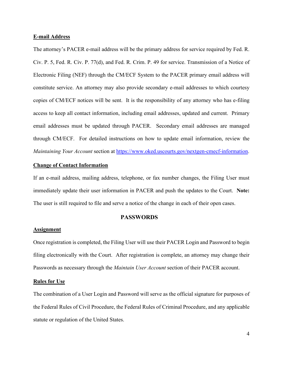#### <span id="page-6-0"></span>**E-mail Address**

The attorney's PACER e-mail address will be the primary address for service required by Fed. R. Civ. P. 5, Fed. R. Civ. P. 77(d), and Fed. R. Crim. P. 49 for service. Transmission of a Notice of Electronic Filing (NEF) through the CM/ECF System to the PACER primary email address will constitute service. An attorney may also provide secondary e-mail addresses to which courtesy copies of CM/ECF notices will be sent. It is the responsibility of any attorney who has e-filing access to keep all contact information, including email addresses, updated and current. Primary email addresses must be updated through PACER. Secondary email addresses are managed through CM/ECF. For detailed instructions on how to update email information, review the *Maintaining Your Account* section at [https://www.oked.uscourts.gov/nextgen-cmecf-information.](https://www.oked.uscourts.gov/nextgen-cmecf-information)

## <span id="page-6-1"></span>**Change of Contact Information**

If an e-mail address, mailing address, telephone, or fax number changes, the Filing User must immediately update their user information in PACER and push the updates to the Court. **Note:** The user is still required to file and serve a notice of the change in each of their open cases.

## **PASSWORDS**

#### <span id="page-6-3"></span><span id="page-6-2"></span>**Assignment**

Once registration is completed, the Filing User will use their PACER Login and Password to begin filing electronically with the Court. After registration is complete, an attorney may change their Passwords as necessary through the *Maintain User Account* section of their PACER account.

#### <span id="page-6-4"></span>**Rules for Use**

The combination of a User Login and Password will serve as the official signature for purposes of the Federal Rules of Civil Procedure, the Federal Rules of Criminal Procedure, and any applicable statute or regulation of the United States.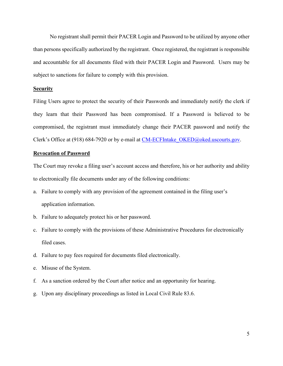No registrant shall permit their PACER Login and Password to be utilized by anyone other than persons specifically authorized by the registrant. Once registered, the registrant is responsible and accountable for all documents filed with their PACER Login and Password. Users may be subject to sanctions for failure to comply with this provision.

## <span id="page-7-0"></span>**Security**

Filing Users agree to protect the security of their Passwords and immediately notify the clerk if they learn that their Password has been compromised. If a Password is believed to be compromised, the registrant must immediately change their PACER password and notify the Clerk's Office at (918) 684-7920 or by e-mail at CM-ECFIntake OKED@oked.uscourts.gov.

#### <span id="page-7-1"></span>**Revocation of Password**

The Court may revoke a filing user's account access and therefore, his or her authority and ability to electronically file documents under any of the following conditions:

- a. Failure to comply with any provision of the agreement contained in the filing user's application information.
- b. Failure to adequately protect his or her password.
- c. Failure to comply with the provisions of these Administrative Procedures for electronically filed cases.
- d. Failure to pay fees required for documents filed electronically.
- e. Misuse of the System.
- f. As a sanction ordered by the Court after notice and an opportunity for hearing.
- g. Upon any disciplinary proceedings as listed in Local Civil Rule 83.6.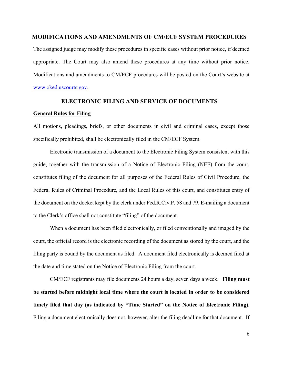## <span id="page-8-0"></span>**MODIFICATIONS AND AMENDMENTS OF CM/ECF SYSTEM PROCEDURES**

The assigned judge may modify these procedures in specific cases without prior notice, if deemed appropriate. The Court may also amend these procedures at any time without prior notice. Modifications and amendments to CM/ECF procedures will be posted on the Court's website at [www.oked.uscourts.gov.](http://www.oked.uscourts.gov/)

## **ELECTRONIC FILING AND SERVICE OF DOCUMENTS**

#### <span id="page-8-2"></span><span id="page-8-1"></span>**General Rules for Filing**

All motions, pleadings, briefs, or other documents in civil and criminal cases, except those specifically prohibited, shall be electronically filed in the CM/ECF System.

Electronic transmission of a document to the Electronic Filing System consistent with this guide, together with the transmission of a Notice of Electronic Filing (NEF) from the court, constitutes filing of the document for all purposes of the Federal Rules of Civil Procedure, the Federal Rules of Criminal Procedure, and the Local Rules of this court, and constitutes entry of the document on the docket kept by the clerk under Fed.R.Civ.P. 58 and 79. E-mailing a document to the Clerk's office shall not constitute "filing" of the document.

When a document has been filed electronically, or filed conventionally and imaged by the court, the official record is the electronic recording of the document as stored by the court, and the filing party is bound by the document as filed. A document filed electronically is deemed filed at the date and time stated on the Notice of Electronic Filing from the court.

CM/ECF registrants may file documents 24 hours a day, seven days a week. **Filing must be started before midnight local time where the court is located in order to be considered timely filed that day (as indicated by "Time Started" on the Notice of Electronic Filing).**  Filing a document electronically does not, however, alter the filing deadline for that document. If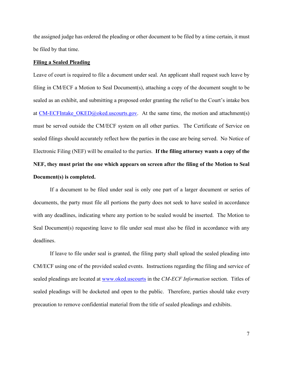the assigned judge has ordered the pleading or other document to be filed by a time certain, it must be filed by that time.

#### <span id="page-9-0"></span>**Filing a Sealed Pleading**

Leave of court is required to file a document under seal. An applicant shall request such leave by filing in CM/ECF a Motion to Seal Document(s), attaching a copy of the document sought to be sealed as an exhibit, and submitting a proposed order granting the relief to the Court's intake box at CM-ECFIntake  $OKED@obel$  uscourts.gov. At the same time, the motion and attachment(s) must be served outside the CM/ECF system on all other parties. The Certificate of Service on sealed filings should accurately reflect how the parties in the case are being served. No Notice of Electronic Filing (NEF) will be emailed to the parties. **If the filing attorney wants a copy of the NEF, they must print the one which appears on screen after the filing of the Motion to Seal Document(s) is completed.**

If a document to be filed under seal is only one part of a larger document or series of documents, the party must file all portions the party does not seek to have sealed in accordance with any deadlines, indicating where any portion to be sealed would be inserted. The Motion to Seal Document(s) requesting leave to file under seal must also be filed in accordance with any deadlines.

If leave to file under seal is granted, the filing party shall upload the sealed pleading into CM/ECF using one of the provided sealed events. Instructions regarding the filing and service of sealed pleadings are located at [www.oked.uscourts](http://www.oked.uscourts/) in the *CM-ECF Information* section. Titles of sealed pleadings will be docketed and open to the public. Therefore, parties should take every precaution to remove confidential material from the title of sealed pleadings and exhibits.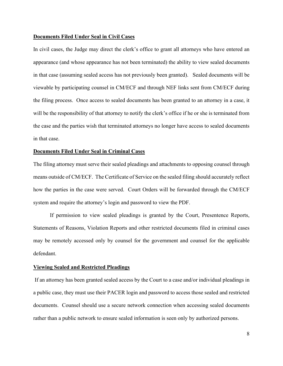#### <span id="page-10-0"></span>**Documents Filed Under Seal in Civil Cases**

In civil cases, the Judge may direct the clerk's office to grant all attorneys who have entered an appearance (and whose appearance has not been terminated) the ability to view sealed documents in that case (assuming sealed access has not previously been granted). Sealed documents will be viewable by participating counsel in CM/ECF and through NEF links sent from CM/ECF during the filing process. Once access to sealed documents has been granted to an attorney in a case, it will be the responsibility of that attorney to notify the clerk's office if he or she is terminated from the case and the parties wish that terminated attorneys no longer have access to sealed documents in that case.

#### <span id="page-10-1"></span>**Documents Filed Under Seal in Criminal Cases**

The filing attorney must serve their sealed pleadings and attachments to opposing counsel through means outside of CM/ECF. The Certificate of Service on the sealed filing should accurately reflect how the parties in the case were served. Court Orders will be forwarded through the CM/ECF system and require the attorney's login and password to view the PDF.

If permission to view sealed pleadings is granted by the Court, Presentence Reports, Statements of Reasons, Violation Reports and other restricted documents filed in criminal cases may be remotely accessed only by counsel for the government and counsel for the applicable defendant.

#### <span id="page-10-2"></span>**Viewing Sealed and Restricted Pleadings**

If an attorney has been granted sealed access by the Court to a case and/or individual pleadings in a public case, they must use their PACER login and password to access those sealed and restricted documents. Counsel should use a secure network connection when accessing sealed documents rather than a public network to ensure sealed information is seen only by authorized persons.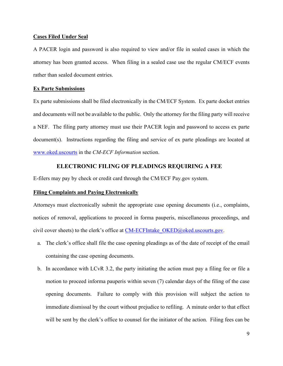#### <span id="page-11-0"></span>**Cases Filed Under Seal**

A PACER login and password is also required to view and/or file in sealed cases in which the attorney has been granted access. When filing in a sealed case use the regular CM/ECF events rather than sealed document entries.

## <span id="page-11-1"></span>**Ex Parte Submissions**

Ex parte submissions shall be filed electronically in the CM/ECF System. Ex parte docket entries and documents will not be available to the public. Only the attorney for the filing party will receive a NEF. The filing party attorney must use their PACER login and password to access ex parte document(s). Instructions regarding the filing and service of ex parte pleadings are located at [www.oked.uscourts](http://www.oked.uscourts/) in the *CM-ECF Information* section.

## **ELECTRONIC FILING OF PLEADINGS REQUIRING A FEE**

<span id="page-11-2"></span>E-filers may pay by check or credit card through the CM/ECF Pay.gov system.

## <span id="page-11-3"></span>**Filing Complaints and Paying Electronically**

Attorneys must electronically submit the appropriate case opening documents (i.e., complaints, notices of removal, applications to proceed in forma pauperis, miscellaneous proceedings, and civil cover sheets) to the clerk's office at  $CM$ -ECFIntake  $OKED@obel$ .uscourts.gov.

- a. The clerk's office shall file the case opening pleadings as of the date of receipt of the email containing the case opening documents.
- b. In accordance with LCvR 3.2, the party initiating the action must pay a filing fee or file a motion to proceed informa pauperis within seven (7) calendar days of the filing of the case opening documents. Failure to comply with this provision will subject the action to immediate dismissal by the court without prejudice to refiling. A minute order to that effect will be sent by the clerk's office to counsel for the initiator of the action. Filing fees can be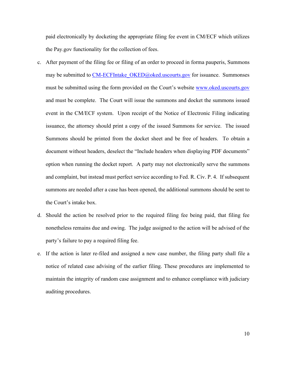paid electronically by docketing the appropriate filing fee event in CM/ECF which utilizes the Pay.gov functionality for the collection of fees.

- c. After payment of the filing fee or filing of an order to proceed in forma pauperis, Summons may be submitted to CM-ECFIntake OKED@oked.uscourts.gov for issuance. Summonses must be submitted using the form provided on the Court's website [www.oked.uscourts.gov](http://www.oked.uscourts.gov/) and must be complete. The Court will issue the summons and docket the summons issued event in the CM/ECF system. Upon receipt of the Notice of Electronic Filing indicating issuance, the attorney should print a copy of the issued Summons for service. The issued Summons should be printed from the docket sheet and be free of headers. To obtain a document without headers, deselect the "Include headers when displaying PDF documents" option when running the docket report. A party may not electronically serve the summons and complaint, but instead must perfect service according to Fed. R. Civ. P. 4. If subsequent summons are needed after a case has been opened, the additional summons should be sent to the Court's intake box.
- d. Should the action be resolved prior to the required filing fee being paid, that filing fee nonetheless remains due and owing. The judge assigned to the action will be advised of the party's failure to pay a required filing fee.
- e. If the action is later re-filed and assigned a new case number, the filing party shall file a notice of related case advising of the earlier filing. These procedures are implemented to maintain the integrity of random case assignment and to enhance compliance with judiciary auditing procedures.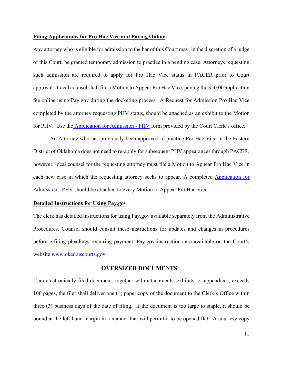#### <span id="page-13-0"></span>**Filing Applications for Pro Hac Vice and Paying Online**

Any attorney who is eligible for admission to the bar of this Court may, in the discretion of a judge of this Court, be granted temporary admission to practice in a pending case. Attorneys requesting such admission are required to apply for Pro Hac Vice status in PACER prior to Court approval. Local counsel shall file a Motion to Appear Pro Hac Vice, paying the \$50.00 application fee online using Pay.gov during the docketing process. A Request for Admission Pro Hac Vice completed by the attorney requesting PHV status, should be attached as an exhibit to the Motion for PHV. Use the [Application for Admission -](https://www.oked.uscourts.gov/forms/application-admission-phv) PHV form provided by the Court Clerk's office.

An Attorney who has previously been approved to practice Pro Hac Vice in the Eastern District of Oklahoma does not need to re-apply for subsequent PHV appearances through PACER; however, local counsel for the requesting attorneymustfile a Motion to Appear Pro Hac Vice in each new case in which the requesting attorney seeks to appear. A completed[Application for](https://www.oked.uscourts.gov/forms/application-admission-phv)  [Admission -](https://www.oked.uscourts.gov/forms/application-admission-phv) PHV should be attached to every Motion to Appear Pro Hac Vice.

## <span id="page-13-1"></span>**Detailed Instructions for Using Pay.gov**

The clerk has detailed instructions for using Pay.gov available separately from the Administrative Procedures. Counsel should consult these instructions for updates and changes in procedures before e-filing pleadings requiring payment. Pay.gov instructions are available on the Court's website [www.oked.uscourts.gov.](http://www.oked.uscourts.gov/)

## **OVERSIZED DOCUMENTS**

<span id="page-13-2"></span>If an electronically filed document, together with attachments, exhibits, or appendices, exceeds 100 pages, the filer shall deliver one (1) paper copy of the document to the Clerk's Office within three (3) business days of the date of filing. If the document is too large to staple, it should be bound at the left-hand margin in a manner that will permit it to be opened flat. A courtesy copy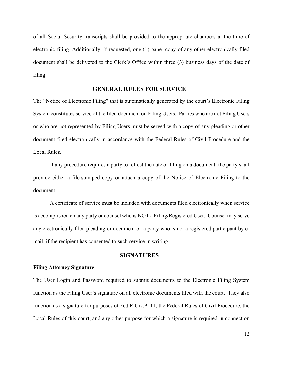of all Social Security transcripts shall be provided to the appropriate chambers at the time of electronic filing. Additionally, if requested, one (1) paper copy of any other electronically filed document shall be delivered to the Clerk's Office within three (3) business days of the date of filing.

## **GENERAL RULES FOR SERVICE**

<span id="page-14-0"></span>The "Notice of Electronic Filing" that is automatically generated by the court's Electronic Filing System constitutes service of the filed document on Filing Users. Parties who are not Filing Users or who are not represented by Filing Users must be served with a copy of any pleading or other document filed electronically in accordance with the Federal Rules of Civil Procedure and the Local Rules.

If any procedure requires a party to reflect the date of filing on a document, the party shall provide either a file-stamped copy or attach a copy of the Notice of Electronic Filing to the document.

A certificate of service must be included with documents filed electronically when service is accomplished on any party or counsel who is NOT a Filing/Registered User. Counsel may serve any electronically filed pleading or document on a party who is not a registered participant by email, if the recipient has consented to such service in writing.

## **SIGNATURES**

#### <span id="page-14-2"></span><span id="page-14-1"></span>**Filing Attorney Signature**

The User Login and Password required to submit documents to the Electronic Filing System function as the Filing User's signature on all electronic documents filed with the court. They also function as a signature for purposes of Fed.R.Civ.P. 11, the Federal Rules of Civil Procedure, the Local Rules of this court, and any other purpose for which a signature is required in connection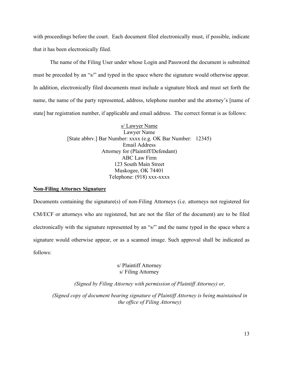with proceedings before the court. Each document filed electronically must, if possible, indicate that it has been electronically filed.

The name of the Filing User under whose Login and Password the document is submitted must be preceded by an "s/" and typed in the space where the signature would otherwise appear. In addition, electronically filed documents must include a signature block and must set forth the name, the name of the party represented, address, telephone number and the attorney's [name of state] bar registration number, if applicable and email address. The correct format is as follows:

> s/ Lawyer Name Lawyer Name [State abbrv.] Bar Number: xxxx (e.g. OK Bar Number: 12345) Email Address Attorney for (Plaintiff/Defendant) ABC Law Firm 123 South Main Street Muskogee, OK 74401 Telephone: (918) xxx-xxxx

## <span id="page-15-0"></span>**Non-Filing Attorney Signature**

Documents containing the signature(s) of non-Filing Attorneys (i.e. attorneys not registered for CM/ECF or attorneys who are registered, but are not the filer of the document) are to be filed electronically with the signature represented by an "s/" and the name typed in the space where a signature would otherwise appear, or as a scanned image. Such approval shall be indicated as follows:

## s/ Plaintiff Attorney s/ Filing Attorney

*(Signed by Filing Attorney with permission of Plaintiff Attorney) or,*

*(Signed copy of document bearing signature of Plaintiff Attorney is being maintained in the office of Filing Attorney)*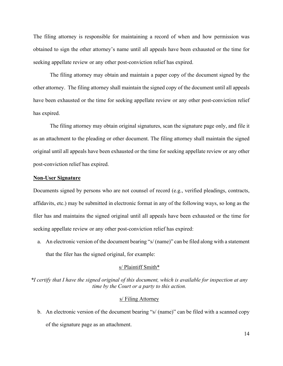The filing attorney is responsible for maintaining a record of when and how permission was obtained to sign the other attorney's name until all appeals have been exhausted or the time for seeking appellate review or any other post-conviction relief has expired.

The filing attorney may obtain and maintain a paper copy of the document signed by the other attorney. The filing attorney shall maintain the signed copy of the document until all appeals have been exhausted or the time for seeking appellate review or any other post-conviction relief has expired.

The filing attorney may obtain original signatures, scan the signature page only, and file it as an attachment to the pleading or other document. The filing attorney shall maintain the signed original until all appeals have been exhausted or the time for seeking appellate review or any other post-conviction relief has expired.

#### <span id="page-16-0"></span>**Non-User Signature**

Documents signed by persons who are not counsel of record (e.g., verified pleadings, contracts, affidavits, etc.) may be submitted in electronic format in any of the following ways, so long as the filer has and maintains the signed original until all appeals have been exhausted or the time for seeking appellate review or any other post-conviction relief has expired:

a. An electronic version of the document bearing "s/ (name)" can be filed along with a statement that the filer has the signed original, for example:

#### s/ Plaintiff Smith\*

*\*I certify that I have the signed original of this document, which is available for inspection at any time by the Court or a party to this action.*

#### s/ Filing Attorney

b. An electronic version of the document bearing "s/ (name)" can be filed with a scanned copy of the signature page as an attachment.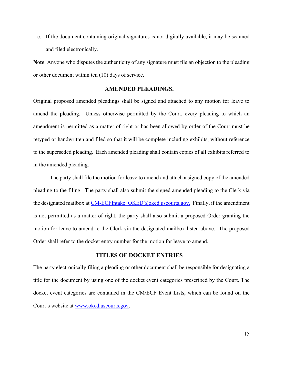c. If the document containing original signatures is not digitally available, it may be scanned and filed electronically.

**Note**: Anyone who disputes the authenticity of any signature must file an objection to the pleading or other document within ten (10) days of service.

## **AMENDED PLEADINGS.**

<span id="page-17-0"></span>Original proposed amended pleadings shall be signed and attached to any motion for leave to amend the pleading. Unless otherwise permitted by the Court, every pleading to which an amendment is permitted as a matter of right or has been allowed by order of the Court must be retyped or handwritten and filed so that it will be complete including exhibits, without reference to the superseded pleading. Each amended pleading shall contain copies of all exhibits referred to in the amended pleading.

The party shall file the motion for leave to amend and attach a signed copy of the amended pleading to the filing. The party shall also submit the signed amended pleading to the Clerk via the designated mailbox at CM-ECFIntake OKED@oked.uscourts.gov. Finally, if the amendment is not permitted as a matter of right, the party shall also submit a proposed Order granting the motion for leave to amend to the Clerk via the designated mailbox listed above. The proposed Order shall refer to the docket entry number for the motion for leave to amend.

## **TITLES OF DOCKET ENTRIES**

<span id="page-17-1"></span>The party electronically filing a pleading or other document shall be responsible for designating a title for the document by using one of the docket event categories prescribed by the Court. The docket event categories are contained in the CM/ECF Event Lists, which can be found on the Court's website at [www.oked.uscourts.gov.](http://www.oked.uscourts.gov/)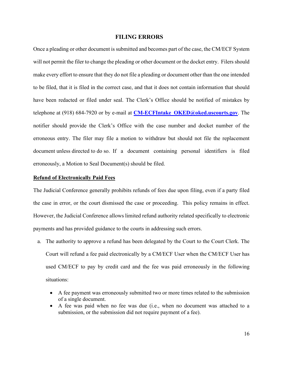#### **FILING ERRORS**

<span id="page-18-0"></span>Once a pleading or other document is submitted and becomes part of the case, the CM/ECF System will not permit the filer to change the pleading or other document or the docket entry. Filers should make every effort to ensure that they do not file a pleading or document other than the one intended to be filed, that it is filed in the correct case, and that it does not contain information that should have been redacted or filed under seal. The Clerk's Office should be notified of mistakes by telephone at (918) 684-7920 or by e-mail at **[CM-ECFIntake\\_OKED@oked.uscourts.gov](mailto:CM-ECFIntake_OKED@oked.uscourts.gov)**. The notifier should provide the Clerk's Office with the case number and docket number of the erroneous entry. The filer may file a motion to withdraw but should not file the replacement document unless directed to do so. If a document containing personal identifiers is filed erroneously, a Motion to Seal Document(s) should be filed.

#### <span id="page-18-1"></span>**Refund of Electronically Paid Fees**

The Judicial Conference generally prohibits refunds of fees due upon filing, even if a party filed the case in error, or the court dismissed the case or proceeding. This policy remains in effect. However, the Judicial Conference allows limited refund authority related specifically to electronic payments and has provided guidance to the courts in addressing such errors.

- a. The authority to approve a refund has been delegated by the Court to the Court Clerk. The Court will refund a fee paid electronically by a CM/ECF User when the CM/ECF User has used CM/ECF to pay by credit card and the fee was paid erroneously in the following situations:
	- A fee payment was erroneously submitted two or more times related to the submission of a single document.
	- A fee was paid when no fee was due (i.e., when no document was attached to a submission, or the submission did not require payment of a fee).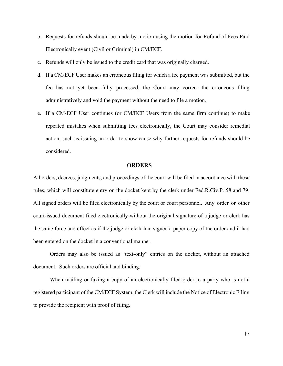- b. Requests for refunds should be made by motion using the motion for Refund of Fees Paid Electronically event (Civil or Criminal) in CM/ECF.
- c. Refunds will only be issued to the credit card that was originally charged.
- d. If a CM/ECF User makes an erroneous filing for which a fee payment was submitted, but the fee has not yet been fully processed, the Court may correct the erroneous filing administratively and void the payment without the need to file a motion.
- e. If a CM/ECF User continues (or CM/ECF Users from the same firm continue) to make repeated mistakes when submitting fees electronically, the Court may consider remedial action, such as issuing an order to show cause why further requests for refunds should be considered.

#### **ORDERS**

<span id="page-19-0"></span>All orders, decrees, judgments, and proceedings of the court will be filed in accordance with these rules, which will constitute entry on the docket kept by the clerk under Fed.R.Civ.P. 58 and 79. All signed orders will be filed electronically by the court or court personnel. Any order or other court-issued document filed electronically without the original signature of a judge or clerk has the same force and effect as if the judge or clerk had signed a paper copy of the order and it had been entered on the docket in a conventional manner.

Orders may also be issued as "text-only" entries on the docket, without an attached document. Such orders are official and binding.

When mailing or faxing a copy of an electronically filed order to a party who is not a registered participant of the CM/ECF System, the Clerk will include the Notice of Electronic Filing to provide the recipient with proof of filing.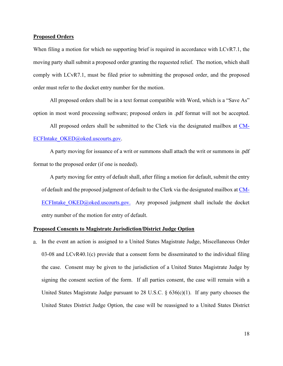#### <span id="page-20-0"></span>**Proposed Orders**

When filing a motion for which no supporting brief is required in accordance with LCvR7.1, the moving party shall submit a proposed order granting the requested relief. The motion, which shall comply with LCvR7.1, must be filed prior to submitting the proposed order, and the proposed order must refer to the docket entry number for the motion.

All proposed orders shall be in a text format compatible with Word, which is a "Save As" option in most word processing software; proposed orders in .pdf format will not be accepted.

All proposed orders shall be submitted to the Clerk via the designated mailbox at [CM-](mailto:CM-ECFIntake_OKED@oked.uscourts.gov)[ECFIntake\\_OKED@oked.uscourts.gov.](mailto:CM-ECFIntake_OKED@oked.uscourts.gov)

A party moving for issuance of a writ or summons shall attach the writ or summons in .pdf format to the proposed order (if one is needed).

A party moving for entry of default shall, after filing a motion for default, submit the entry of default and the proposed judgment of default to the Clerk via the designated mailbox at [CM-](mailto:CM-ECFIntake_OKED@oked.uscourts.gov.)ECFIntake OKED@oked.uscourts.gov. Any proposed judgment shall include the docket entry number of the motion for entry of default.

## <span id="page-20-1"></span>**Proposed Consents to Magistrate Jurisdiction/District Judge Option**

a. In the event an action is assigned to a United States Magistrate Judge, Miscellaneous Order  $03-08$  and LCvR40.1(c) provide that a consent form be disseminated to the individual filing the case. Consent may be given to the jurisdiction of a United States Magistrate Judge by signing the consent section of the form. If all parties consent, the case will remain with a United States Magistrate Judge pursuant to 28 U.S.C.  $\S$  636(c)(1). If any party chooses the United States District Judge Option, the case will be reassigned to a United States District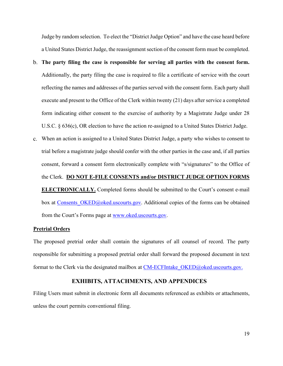Judge by random selection. To elect the "District Judge Option" and have the case heard before a United States District Judge, the reassignment section of the consent form must be completed.

- **The party filing the case is responsible for serving all parties with the consent form.** Additionally, the party filing the case is required to file a certificate of service with the court reflecting the names and addresses of the parties served with the consent form. Each party shall execute and present to the Office of the Clerk within twenty (21) days after service a completed form indicating either consent to the exercise of authority by a Magistrate Judge under 28 U.S.C. § 636(c), OR election to have the action re-assigned to a United States District Judge.
- When an action is assigned to a United States District Judge, a party who wishes to consent to trial before a magistrate judge should confer with the other parties in the case and, if all parties consent, forward a consent form electronically complete with "s/signatures" to the Office of the Clerk. **DO NOT E-FILE CONSENTS and/or DISTRICT JUDGE OPTION FORMS ELECTRONICALLY.** Completed forms should be submitted to the Court's consent e-mail box at Consents OKED@oked.uscourts.gov. Additional copies of the forms can be obtained from the Court's Forms page at [www.oked.uscourts.gov.](http://www.oked.uscourts.gov/)

#### <span id="page-21-0"></span>**Pretrial Orders**

The proposed pretrial order shall contain the signatures of all counsel of record. The party responsible for submitting a proposed pretrial order shall forward the proposed document in text format to the Clerk via the designated mailbox at CM-ECFIntake OKED@oked.uscourts.gov.

## **EXHIBITS, ATTACHMENTS, AND APPENDICES**

<span id="page-21-1"></span>Filing Users must submit in electronic form all documents referenced as exhibits or attachments, unless the court permits conventional filing.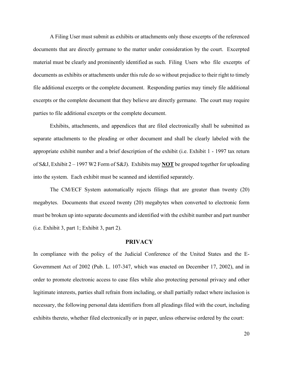A Filing User must submit as exhibits or attachments only those excerpts of the referenced documents that are directly germane to the matter under consideration by the court. Excerpted material must be clearly and prominently identified as such. Filing Users who file excerpts of documents as exhibits or attachments under this rule do so without prejudice to their right to timely file additional excerpts or the complete document. Responding parties may timely file additional excerpts or the complete document that they believe are directly germane. The court may require parties to file additional excerpts or the complete document.

Exhibits, attachments, and appendices that are filed electronically shall be submitted as separate attachments to the pleading or other document and shall be clearly labeled with the appropriate exhibit number and a brief description of the exhibit (i.e. Exhibit 1 - 1997 tax return of S&J, Exhibit 2 – 1997 W2 Form of S&J). Exhibits may **NOT** be grouped together for uploading into the system. Each exhibit must be scanned and identified separately.

The CM/ECF System automatically rejects filings that are greater than twenty (20) megabytes. Documents that exceed twenty (20) megabytes when converted to electronic form must be broken up into separate documents and identified with the exhibit number and part number (i.e. Exhibit 3, part 1; Exhibit 3, part 2).

#### **PRIVACY**

<span id="page-22-0"></span>In compliance with the policy of the Judicial Conference of the United States and the E-Government Act of 2002 (Pub. L. 107-347, which was enacted on December 17, 2002), and in order to promote electronic access to case files while also protecting personal privacy and other legitimate interests, parties shall refrain from including, or shall partially redact where inclusion is necessary, the following personal data identifiers from all pleadings filed with the court, including exhibits thereto, whether filed electronically or in paper, unless otherwise ordered by the court: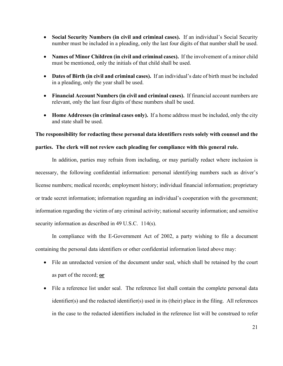- **Social Security Numbers (in civil and criminal cases).** If an individual's Social Security number must be included in a pleading, only the last four digits of that number shall be used.
- **Names of Minor Children (in civil and criminal cases).** If the involvement of a minor child must be mentioned, only the initials of that child shall be used.
- **Dates of Birth (in civil and criminal cases).** If an individual's date of birth must be included in a pleading, only the year shall be used.
- **Financial Account Numbers (in civil and criminal cases).** If financial account numbers are relevant, only the last four digits of these numbers shall be used.
- **Home Addresses (in criminal cases only).** If a home address must be included, only the city and state shall be used.

## **The responsibility for redacting these personal data identifiers rests solely with counsel and the**

## **parties. The clerk will not review each pleading for compliance with this general rule.**

In addition, parties may refrain from including, or may partially redact where inclusion is necessary, the following confidential information: personal identifying numbers such as driver's license numbers; medical records; employment history; individual financial information; proprietary or trade secret information; information regarding an individual's cooperation with the government; information regarding the victim of any criminal activity; national security information; and sensitive security information as described in 49 U.S.C. 114(s).

In compliance with the E-Government Act of 2002, a party wishing to file a document containing the personal data identifiers or other confidential information listed above may:

- File an unredacted version of the document under seal, which shall be retained by the court as part of the record; **or**
- File a reference list under seal. The reference list shall contain the complete personal data identifier(s) and the redacted identifier(s) used in its (their) place in the filing. All references in the case to the redacted identifiers included in the reference list will be construed to refer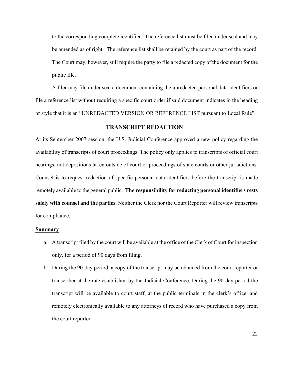to the corresponding complete identifier. The reference list must be filed under seal and may be amended as of right. The reference list shall be retained by the court as part of the record. The Court may, however, still require the party to file a redacted copy of the document for the public file.

A filer may file under seal a document containing the unredacted personal data identifiers or file a reference list without requiring a specific court order if said document indicates in the heading or style that it is an "UNREDACTED VERSION OR REFERENCE LIST pursuant to Local Rule".

## **TRANSCRIPT REDACTION**

<span id="page-24-0"></span>At its September 2007 session, the U.S. Judicial Conference approved a new policy regarding the availability of transcripts of court proceedings. The policy only applies to transcripts of official court hearings, not depositions taken outside of court or proceedings of state courts or other jurisdictions. Counsel is to request redaction of specific personal data identifiers before the transcript is made remotely available to the general public. **The responsibility for redacting personal identifiers rests solely with counsel and the parties.** Neither the Clerk nor the Court Reporter will review transcripts for compliance.

#### <span id="page-24-1"></span>**Summary**

- a. A transcript filed by the court will be available at the office of the Clerk of Court for inspection only, for a period of 90 days from filing.
- b. During the 90-day period, a copy of the transcript may be obtained from the court reporter or transcriber at the rate established by the Judicial Conference. During the 90-day period the transcript will be available to court staff, at the public terminals in the clerk's office, and remotely electronically available to any attorneys of record who have purchased a copy from the court reporter.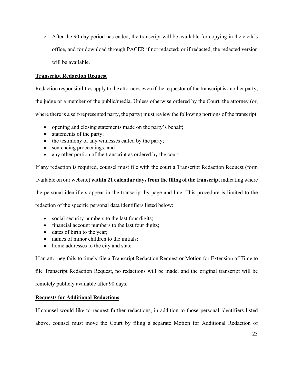c. After the 90-day period has ended, the transcript will be available for copying in the clerk's office, and for download through PACER if not redacted; or if redacted, the redacted version will be available.

## <span id="page-25-0"></span>**Transcript Redaction Request**

Redaction responsibilities apply to the attorneys even if the requestor of the transcript is another party,

the judge or a member of the public/media. Unless otherwise ordered by the Court, the attorney (or,

where there is a self-represented party, the party) must review the following portions of the transcript:

- opening and closing statements made on the party's behalf;
- statements of the party;
- the testimony of any witnesses called by the party;
- sentencing proceedings; and
- any other portion of the transcript as ordered by the court.

If any redaction is required, counsel must file with the court a Transcript Redaction Request (form

available on our website) **within 21 calendar days from the filing of the transcript** indicating where

the personal identifiers appear in the transcript by page and line. This procedure is limited to the

redaction of the specific personal data identifiers listed below:

- social security numbers to the last four digits;
- financial account numbers to the last four digits;
- dates of birth to the year;
- names of minor children to the initials;
- home addresses to the city and state.

If an attorney fails to timely file a Transcript Redaction Request or Motion for Extension of Time to

file Transcript Redaction Request, no redactions will be made, and the original transcript will be

remotely publicly available after 90 days.

## <span id="page-25-1"></span>**Requests for Additional Redactions**

If counsel would like to request further redactions, in addition to those personal identifiers listed above, counsel must move the Court by filing a separate Motion for Additional Redaction of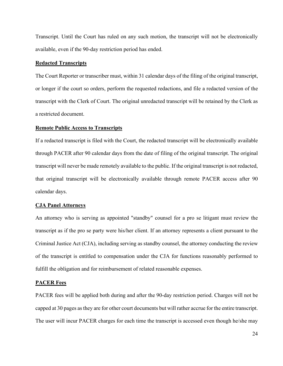Transcript. Until the Court has ruled on any such motion, the transcript will not be electronically available, even if the 90-day restriction period has ended.

#### <span id="page-26-0"></span>**Redacted Transcripts**

The Court Reporter or transcriber must, within 31 calendar days of the filing of the original transcript, or longer if the court so orders, perform the requested redactions, and file a redacted version of the transcript with the Clerk of Court. The original unredacted transcript will be retained by the Clerk as a restricted document.

#### <span id="page-26-1"></span>**Remote Public Access to Transcripts**

If a redacted transcript is filed with the Court, the redacted transcript will be electronically available through PACER after 90 calendar days from the date of filing of the original transcript. The original transcript will never be made remotely available to the public. If the original transcript is not redacted, that original transcript will be electronically available through remote PACER access after 90 calendar days.

#### <span id="page-26-2"></span>**CJA Panel Attorneys**

An attorney who is serving as appointed "standby" counsel for a pro se litigant must review the transcript as if the pro se party were his/her client. If an attorney represents a client pursuant to the Criminal Justice Act (CJA), including serving as standby counsel, the attorney conducting the review of the transcript is entitled to compensation under the CJA for functions reasonably performed to fulfill the obligation and for reimbursement of related reasonable expenses.

#### <span id="page-26-3"></span>**PACER Fees**

PACER fees will be applied both during and after the 90-day restriction period. Charges will not be capped at 30 pages as they are for other court documents but will rather accrue for the entire transcript. The user will incur PACER charges for each time the transcript is accessed even though he/she may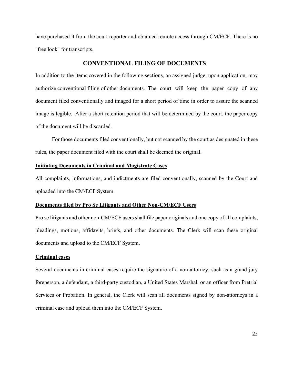have purchased it from the court reporter and obtained remote access through CM/ECF. There is no "free look" for transcripts.

## **CONVENTIONAL FILING OF DOCUMENTS**

<span id="page-27-0"></span>In addition to the items covered in the following sections, an assigned judge, upon application, may authorize conventional filing of other documents. The court will keep the paper copy of any document filed conventionally and imaged for a short period of time in order to assure the scanned image is legible. After a short retention period that will be determined by the court, the paper copy of the document will be discarded.

For those documents filed conventionally, but not scanned by the court as designated in these rules, the paper document filed with the court shall be deemed the original.

## <span id="page-27-1"></span>**Initiating Documents in Criminal and Magistrate Cases**

All complaints, informations, and indictments are filed conventionally, scanned by the Court and uploaded into the CM/ECF System.

#### <span id="page-27-2"></span>**Documents filed by Pro Se Litigants and Other Non-CM/ECF Users**

Pro se litigants and other non-CM/ECF users shall file paper originals and one copy of all complaints, pleadings, motions, affidavits, briefs, and other documents. The Clerk will scan these original documents and upload to the CM/ECF System.

## <span id="page-27-3"></span>**Criminal cases**

Several documents in criminal cases require the signature of a non-attorney, such as a grand jury foreperson, a defendant, a third-party custodian, a United States Marshal, or an officer from Pretrial Services or Probation. In general, the Clerk will scan all documents signed by non-attorneys in a criminal case and upload them into the CM/ECF System.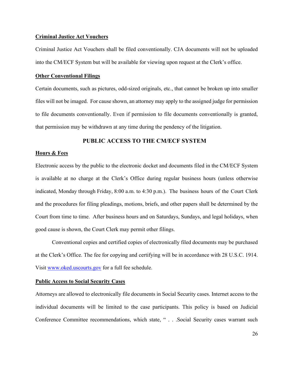#### <span id="page-28-0"></span>**Criminal Justice Act Vouchers**

Criminal Justice Act Vouchers shall be filed conventionally. CJA documents will not be uploaded into the CM/ECF System but will be available for viewing upon request at the Clerk's office.

#### <span id="page-28-1"></span>**Other Conventional Filings**

Certain documents, such as pictures, odd-sized originals, etc., that cannot be broken up into smaller files will not be imaged. For cause shown, an attorney may apply to the assigned judge for permission to file documents conventionally. Even if permission to file documents conventionally is granted, that permission may be withdrawn at any time during the pendency of the litigation.

## **PUBLIC ACCESS TO THE CM/ECF SYSTEM**

#### <span id="page-28-3"></span><span id="page-28-2"></span>**Hours & Fees**

Electronic access by the public to the electronic docket and documents filed in the CM/ECF System is available at no charge at the Clerk's Office during regular business hours (unless otherwise indicated, Monday through Friday, 8:00 a.m. to 4:30 p.m.). The business hours of the Court Clerk and the procedures for filing pleadings, motions, briefs, and other papers shall be determined by the Court from time to time. After business hours and on Saturdays, Sundays, and legal holidays, when good cause is shown, the Court Clerk may permit other filings.

Conventional copies and certified copies of electronically filed documents may be purchased at the Clerk's Office. The fee for copying and certifying will be in accordance with 28 U.S.C. 1914. Visit [www.oked.uscourts.gov](http://www.oked.uscourts.gov/) for a full fee schedule.

## <span id="page-28-4"></span>**Public Access to Social Security Cases**

Attorneys are allowed to electronically file documents in Social Security cases. Internet access to the individual documents will be limited to the case participants. This policy is based on Judicial Conference Committee recommendations, which state, " . . .Social Security cases warrant such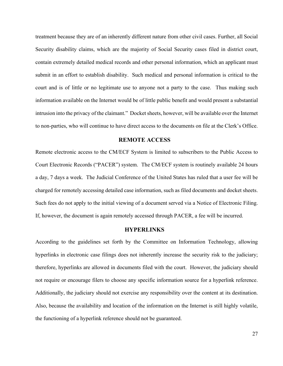treatment because they are of an inherently different nature from other civil cases. Further, all Social Security disability claims, which are the majority of Social Security cases filed in district court, contain extremely detailed medical records and other personal information, which an applicant must submit in an effort to establish disability. Such medical and personal information is critical to the court and is of little or no legitimate use to anyone not a party to the case. Thus making such information available on the Internet would be of little public benefit and would present a substantial intrusion into the privacy of the claimant." Docket sheets, however, will be available over the Internet to non-parties, who will continue to have direct access to the documents on file at the Clerk's Office.

## **REMOTE ACCESS**

<span id="page-29-0"></span>Remote electronic access to the CM/ECF System is limited to subscribers to the Public Access to Court Electronic Records ("PACER") system. The CM/ECF system is routinely available 24 hours a day, 7 days a week. The Judicial Conference of the United States has ruled that a user fee will be charged for remotely accessing detailed case information, such as filed documents and docket sheets. Such fees do not apply to the initial viewing of a document served via a Notice of Electronic Filing. If, however, the document is again remotely accessed through PACER, a fee will be incurred.

## **HYPERLINKS**

<span id="page-29-1"></span>According to the guidelines set forth by the Committee on Information Technology, allowing hyperlinks in electronic case filings does not inherently increase the security risk to the judiciary; therefore, hyperlinks are allowed in documents filed with the court. However, the judiciary should not require or encourage filers to choose any specific information source for a hyperlink reference. Additionally, the judiciary should not exercise any responsibility over the content at its destination. Also, because the availability and location of the information on the Internet is still highly volatile, the functioning of a hyperlink reference should not be guaranteed.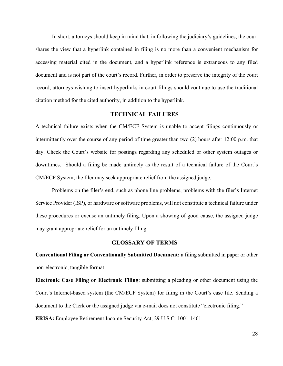In short, attorneys should keep in mind that, in following the judiciary's guidelines, the court shares the view that a hyperlink contained in filing is no more than a convenient mechanism for accessing material cited in the document, and a hyperlink reference is extraneous to any filed document and is not part of the court's record. Further, in order to preserve the integrity of the court record, attorneys wishing to insert hyperlinks in court filings should continue to use the traditional citation method for the cited authority, in addition to the hyperlink.

## **TECHNICAL FAILURES**

<span id="page-30-0"></span>A technical failure exists when the CM/ECF System is unable to accept filings continuously or intermittently over the course of any period of time greater than two (2) hours after 12:00 p.m. that day. Check the Court's website for postings regarding any scheduled or other system outages or downtimes. Should a filing be made untimely as the result of a technical failure of the Court's CM/ECF System, the filer may seek appropriate relief from the assigned judge.

Problems on the filer's end, such as phone line problems, problems with the filer's Internet Service Provider (ISP), or hardware or software problems, will not constitute a technical failure under these procedures or excuse an untimely filing. Upon a showing of good cause, the assigned judge may grant appropriate relief for an untimely filing.

## **GLOSSARY OF TERMS**

<span id="page-30-1"></span>**Conventional Filing or Conventionally Submitted Document:** a filing submitted in paper or other non-electronic, tangible format.

**Electronic Case Filing or Electronic Filing**: submitting a pleading or other document using the Court's Internet-based system (the CM/ECF System) for filing in the Court's case file. Sending a document to the Clerk or the assigned judge via e-mail does not constitute "electronic filing."

**ERISA:** Employee Retirement Income Security Act, 29 U.S.C. 1001-1461.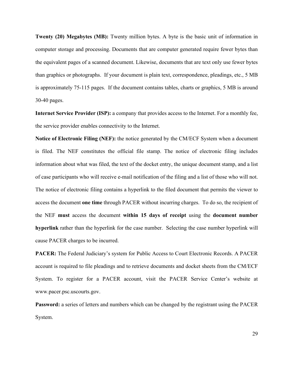**Twenty (20) Megabytes (MB):** Twenty million bytes. A byte is the basic unit of information in computer storage and processing. Documents that are computer generated require fewer bytes than the equivalent pages of a scanned document. Likewise, documents that are text only use fewer bytes than graphics or photographs. If your document is plain text, correspondence, pleadings, etc., 5 MB is approximately 75-115 pages. If the document contains tables, charts or graphics, 5 MB is around 30-40 pages.

**Internet Service Provider (ISP):** a company that provides access to the Internet. For a monthly fee, the service provider enables connectivity to the Internet.

**Notice of Electronic Filing (NEF):** the notice generated by the CM/ECF System when a document is filed. The NEF constitutes the official file stamp. The notice of electronic filing includes information about what was filed, the text of the docket entry, the unique document stamp, and a list of case participants who will receive e-mail notification of the filing and a list of those who will not. The notice of electronic filing contains a hyperlink to the filed document that permits the viewer to access the document **one time** through PACER without incurring charges. To do so, the recipient of the NEF **must** access the document **within 15 days of receipt** using the **document number hyperlink** rather than the hyperlink for the case number. Selecting the case number hyperlink will cause PACER charges to be incurred.

**PACER:** The Federal Judiciary's system for Public Access to Court Electronic Records. A PACER account is required to file pleadings and to retrieve documents and docket sheets from the CM/ECF System. To register for a PACER account, visit the PACER Service Center's website at www.pacer.psc.uscourts.gov.

**Password:** a series of letters and numbers which can be changed by the registrant using the PACER System.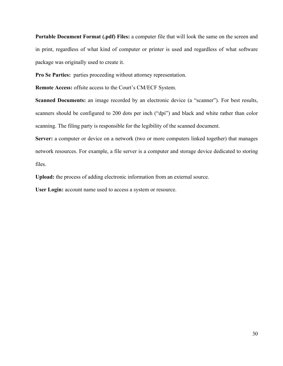**Portable Document Format (.pdf) Files:** a computer file that will look the same on the screen and in print, regardless of what kind of computer or printer is used and regardless of what software package was originally used to create it.

**Pro Se Parties:** parties proceeding without attorney representation.

**Remote Access:** offsite access to the Court's CM/ECF System.

**Scanned Documents:** an image recorded by an electronic device (a "scanner"). For best results, scanners should be configured to 200 dots per inch ("dpi") and black and white rather than color scanning. The filing party is responsible for the legibility of the scanned document.

**Server:** a computer or device on a network (two or more computers linked together) that manages network resources. For example, a file server is a computer and storage device dedicated to storing files.

**Upload:** the process of adding electronic information from an external source.

**User Login:** account name used to access a system or resource.